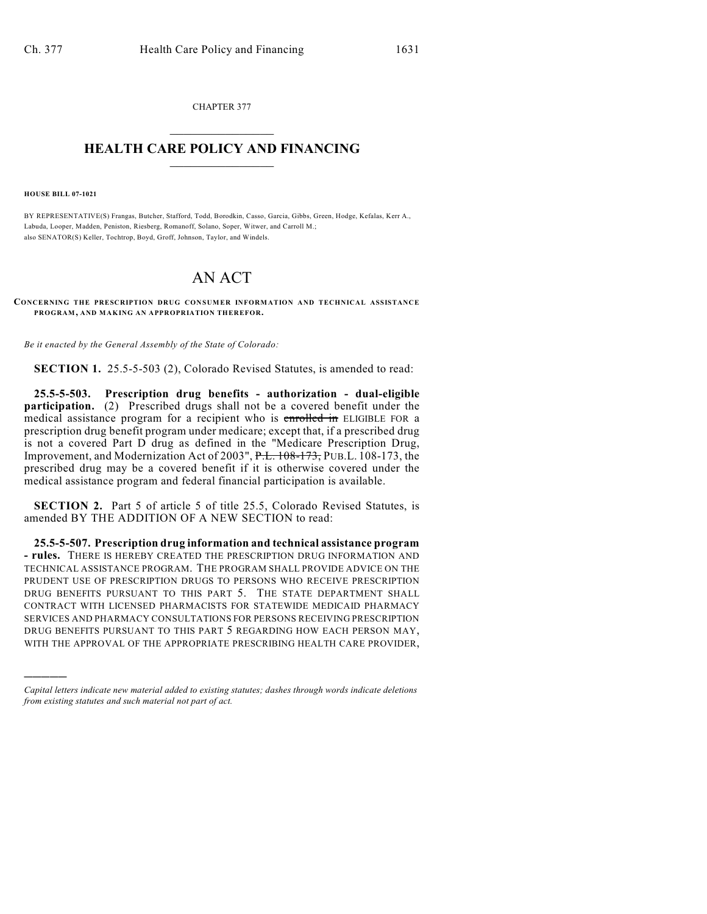CHAPTER 377  $\overline{\phantom{a}}$  . The set of the set of the set of the set of the set of the set of the set of the set of the set of the set of the set of the set of the set of the set of the set of the set of the set of the set of the set o

## **HEALTH CARE POLICY AND FINANCING**  $\_$   $\_$   $\_$   $\_$   $\_$   $\_$   $\_$   $\_$

**HOUSE BILL 07-1021**

)))))

BY REPRESENTATIVE(S) Frangas, Butcher, Stafford, Todd, Borodkin, Casso, Garcia, Gibbs, Green, Hodge, Kefalas, Kerr A., Labuda, Looper, Madden, Peniston, Riesberg, Romanoff, Solano, Soper, Witwer, and Carroll M.; also SENATOR(S) Keller, Tochtrop, Boyd, Groff, Johnson, Taylor, and Windels.

## AN ACT

## **CONCERNING THE PRESCRIPTION DRUG CONSUMER INFORMATION AND TECHNICAL ASSISTANCE PROGRAM, AND MAKING AN APPROPRIATION THEREFOR.**

*Be it enacted by the General Assembly of the State of Colorado:*

**SECTION 1.** 25.5-5-503 (2), Colorado Revised Statutes, is amended to read:

**25.5-5-503. Prescription drug benefits - authorization - dual-eligible participation.** (2) Prescribed drugs shall not be a covered benefit under the medical assistance program for a recipient who is enrolled in ELIGIBLE FOR a prescription drug benefit program under medicare; except that, if a prescribed drug is not a covered Part D drug as defined in the "Medicare Prescription Drug, Improvement, and Modernization Act of 2003", P.L. 108-173, PUB.L. 108-173, the prescribed drug may be a covered benefit if it is otherwise covered under the medical assistance program and federal financial participation is available.

**SECTION 2.** Part 5 of article 5 of title 25.5, Colorado Revised Statutes, is amended BY THE ADDITION OF A NEW SECTION to read:

**25.5-5-507. Prescription drug information and technical assistance program - rules.** THERE IS HEREBY CREATED THE PRESCRIPTION DRUG INFORMATION AND TECHNICAL ASSISTANCE PROGRAM. THE PROGRAM SHALL PROVIDE ADVICE ON THE PRUDENT USE OF PRESCRIPTION DRUGS TO PERSONS WHO RECEIVE PRESCRIPTION DRUG BENEFITS PURSUANT TO THIS PART 5. THE STATE DEPARTMENT SHALL CONTRACT WITH LICENSED PHARMACISTS FOR STATEWIDE MEDICAID PHARMACY SERVICES AND PHARMACY CONSULTATIONS FOR PERSONS RECEIVING PRESCRIPTION DRUG BENEFITS PURSUANT TO THIS PART 5 REGARDING HOW EACH PERSON MAY, WITH THE APPROVAL OF THE APPROPRIATE PRESCRIBING HEALTH CARE PROVIDER,

*Capital letters indicate new material added to existing statutes; dashes through words indicate deletions from existing statutes and such material not part of act.*